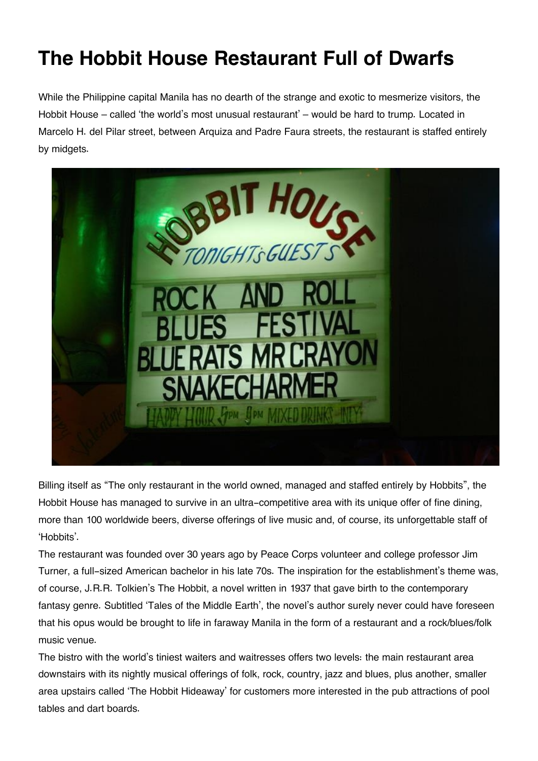## **The Hobbit House Restaurant Full of Dwarfs**

While the Philippine capital Manila has no dearth of the strange and exotic to mesmerize visitors, the Hobbit House – called 'the world's most unusual restaurant' – would be hard to trump. Located in Marcelo H. del Pilar street, between Arquiza and Padre Faura streets, the restaurant is staffed entirely by midgets.



Billing itself as "The only restaurant in the world owned, managed and staffed entirely by Hobbits", the Hobbit House has managed to survive in an ultra-competitive area with its unique offer of fine dining, more than 100 worldwide beers, diverse offerings of live music and, of course, its unforgettable staff of 'Hobbits'.

The restaurant was founded over 30 years ago by Peace Corps volunteer and college professor Jim Turner, a full-sized American bachelor in his late 70s. The inspiration for the establishment's theme was, of course, J.R.R. Tolkien's The Hobbit, a novel written in 1937 that gave birth to the contemporary fantasy genre. Subtitled 'Tales of the Middle Earth', the novel's author surely never could have foreseen that his opus would be brought to life in faraway Manila in the form of a restaurant and a rock/blues/folk music venue.

The bistro with the world's tiniest waiters and waitresses offers two levels: the main restaurant area downstairs with its nightly musical offerings of folk, rock, country, jazz and blues, plus another, smaller area upstairs called 'The Hobbit Hideaway' for customers more interested in the pub attractions of pool tables and dart boards.